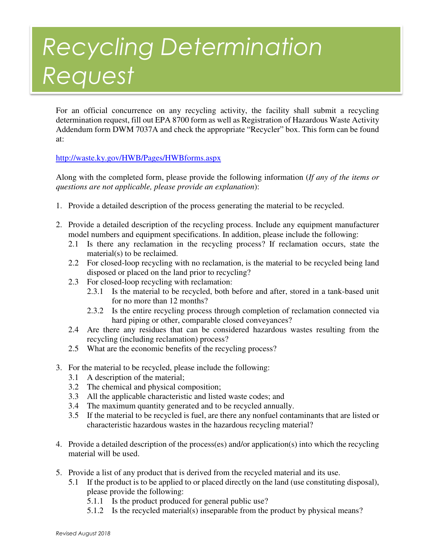## Recycling Determination Request

For an official concurrence on any recycling activity, the facility shall submit a recycling determination request, fill out EPA 8700 form as well as Registration of Hazardous Waste Activity Addendum form DWM 7037A and check the appropriate "Recycler" box. This form can be found at:

## http://waste.ky.gov/HWB/Pages/HWBforms.aspx

Along with the completed form, please provide the following information (*If any of the items or questions are not applicable, please provide an explanation*):

- 1. Provide a detailed description of the process generating the material to be recycled.
- 2. Provide a detailed description of the recycling process. Include any equipment manufacturer model numbers and equipment specifications. In addition, please include the following:
	- 2.1 Is there any reclamation in the recycling process? If reclamation occurs, state the material(s) to be reclaimed.
	- 2.2 For closed-loop recycling with no reclamation, is the material to be recycled being land disposed or placed on the land prior to recycling?
	- 2.3 For closed-loop recycling with reclamation:
		- 2.3.1 Is the material to be recycled, both before and after, stored in a tank-based unit for no more than 12 months?
		- 2.3.2 Is the entire recycling process through completion of reclamation connected via hard piping or other, comparable closed conveyances?
	- 2.4 Are there any residues that can be considered hazardous wastes resulting from the recycling (including reclamation) process?
	- 2.5 What are the economic benefits of the recycling process?
- 3. For the material to be recycled, please include the following:
	- 3.1 A description of the material;
	- 3.2 The chemical and physical composition;
	- 3.3 All the applicable characteristic and listed waste codes; and
	- 3.4 The maximum quantity generated and to be recycled annually.
	- 3.5 If the material to be recycled is fuel, are there any nonfuel contaminants that are listed or characteristic hazardous wastes in the hazardous recycling material?
- 4. Provide a detailed description of the process(es) and/or application(s) into which the recycling material will be used.
- 5. Provide a list of any product that is derived from the recycled material and its use.
	- 5.1 If the product is to be applied to or placed directly on the land (use constituting disposal), please provide the following:
		- 5.1.1 Is the product produced for general public use?
		- 5.1.2 Is the recycled material(s) inseparable from the product by physical means?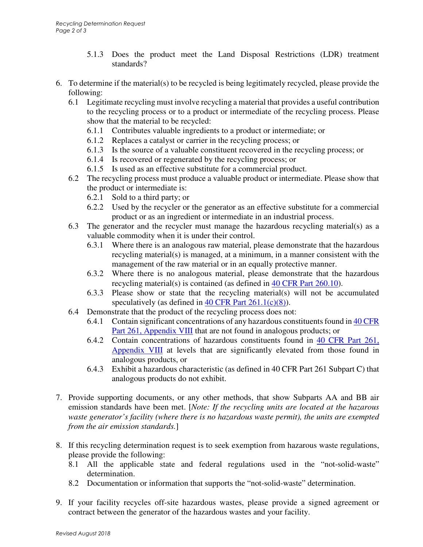- 5.1.3 Does the product meet the Land Disposal Restrictions (LDR) treatment standards?
- 6. To determine if the material(s) to be recycled is being legitimately recycled, please provide the following:
	- 6.1 Legitimate recycling must involve recycling a material that provides a useful contribution to the recycling process or to a product or intermediate of the recycling process. Please show that the material to be recycled:
		- 6.1.1 Contributes valuable ingredients to a product or intermediate; or
		- 6.1.2 Replaces a catalyst or carrier in the recycling process; or
		- 6.1.3 Is the source of a valuable constituent recovered in the recycling process; or
		- 6.1.4 Is recovered or regenerated by the recycling process; or
		- 6.1.5 Is used as an effective substitute for a commercial product.
	- 6.2 The recycling process must produce a valuable product or intermediate. Please show that the product or intermediate is:
		- 6.2.1 Sold to a third party; or
		- 6.2.2 Used by the recycler or the generator as an effective substitute for a commercial product or as an ingredient or intermediate in an industrial process.
	- 6.3 The generator and the recycler must manage the hazardous recycling material(s) as a valuable commodity when it is under their control.
		- 6.3.1 Where there is an analogous raw material, please demonstrate that the hazardous recycling material(s) is managed, at a minimum, in a manner consistent with the management of the raw material or in an equally protective manner.
		- 6.3.2 Where there is no analogous material, please demonstrate that the hazardous recycling material(s) is contained (as defined in 40 CFR Part 260.10).
		- 6.3.3 Please show or state that the recycling material(s) will not be accumulated speculatively (as defined in  $40$  CFR Part  $261.1(c)(8)$ ).
	- 6.4 Demonstrate that the product of the recycling process does not:
		- 6.4.1 Contain significant concentrations of any hazardous constituents found in 40 CFR Part 261, Appendix VIII that are not found in analogous products; or
		- 6.4.2 Contain concentrations of hazardous constituents found in 40 CFR Part 261, Appendix VIII at levels that are significantly elevated from those found in analogous products, or
		- 6.4.3 Exhibit a hazardous characteristic (as defined in 40 CFR Part 261 Subpart C) that analogous products do not exhibit.
- 7. Provide supporting documents, or any other methods, that show Subparts AA and BB air emission standards have been met. [*Note: If the recycling units are located at the hazarous waste generator's facility (where there is no hazardous waste permit), the units are exempted from the air emission standards.*]
- 8. If this recycling determination request is to seek exemption from hazarous waste regulations, please provide the following:
	- 8.1 All the applicable state and federal regulations used in the "not-solid-waste" determination.
	- 8.2 Documentation or information that supports the "not-solid-waste" determination.
- 9. If your facility recycles off-site hazardous wastes, please provide a signed agreement or contract between the generator of the hazardous wastes and your facility.